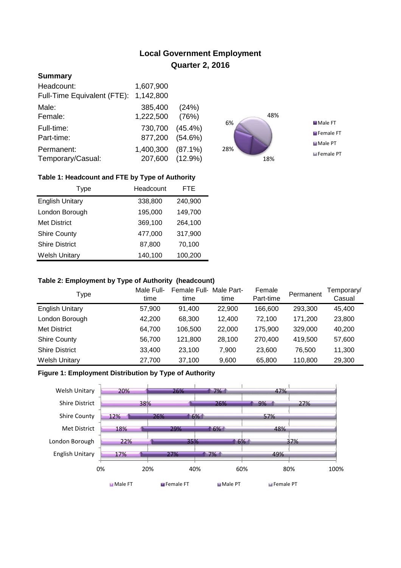# **Local Government Employment Quarter 2, 2016**

## **Summary**

| Headcount:<br>Full-Time Equivalent (FTE): | 1,607,900<br>1,142,800       |            |
|-------------------------------------------|------------------------------|------------|
| Male:                                     | 385,400                      | (24%)      |
| Female:                                   | 1,222,500                    | (76%)      |
| Full-time:                                | 730,700                      | $(45.4\%)$ |
| Part-time:                                | 877,200                      | $(54.6\%)$ |
| Permanent:<br>Temporary/Casual:           | 1,400,300<br>207,600 (12.9%) | $(87.1\%)$ |



## **Table 1: Headcount and FTE by Type of Authority**

| Type                   | Headcount | <b>FTE</b> |
|------------------------|-----------|------------|
| <b>English Unitary</b> | 338,800   | 240,900    |
| London Borough         | 195,000   | 149,700    |
| <b>Met District</b>    | 369,100   | 264,100    |
| <b>Shire County</b>    | 477,000   | 317,900    |
| <b>Shire District</b>  | 87,800    | 70,100     |
| <b>Welsh Unitary</b>   | 140,100   | 100,200    |

#### **Table 2: Employment by Type of Authority (headcount)**

| Type                   | Male Full-<br>time | Female Full-<br>time | Male Part-<br>time | Female<br>Part-time | Permanent | Temporary/<br>Casual |
|------------------------|--------------------|----------------------|--------------------|---------------------|-----------|----------------------|
| <b>English Unitary</b> | 57,900             | 91,400               | 22,900             | 166,600             | 293,300   | 45,400               |
| London Borough         | 42.200             | 68.300               | 12.400             | 72.100              | 171.200   | 23,800               |
| Met District           | 64,700             | 106,500              | 22,000             | 175,900             | 329,000   | 40,200               |
| <b>Shire County</b>    | 56,700             | 121.800              | 28,100             | 270.400             | 419,500   | 57,600               |
| <b>Shire District</b>  | 33,400             | 23.100               | 7.900              | 23,600              | 76.500    | 11,300               |
| <b>Welsh Unitary</b>   | 27,700             | 37,100               | 9,600              | 65,800              | 110,800   | 29,300               |

## **Figure 1: Employment Distribution by Type of Authority**